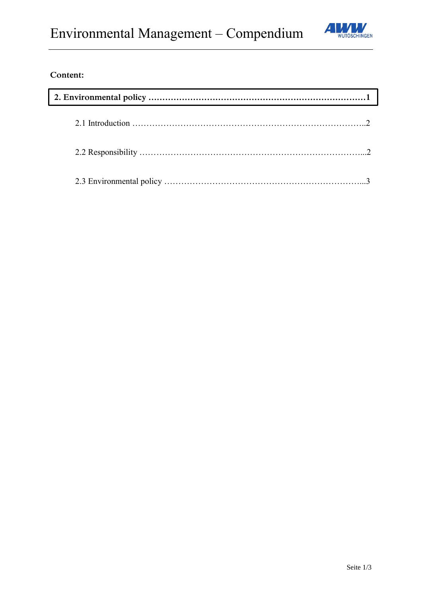

# **Content:**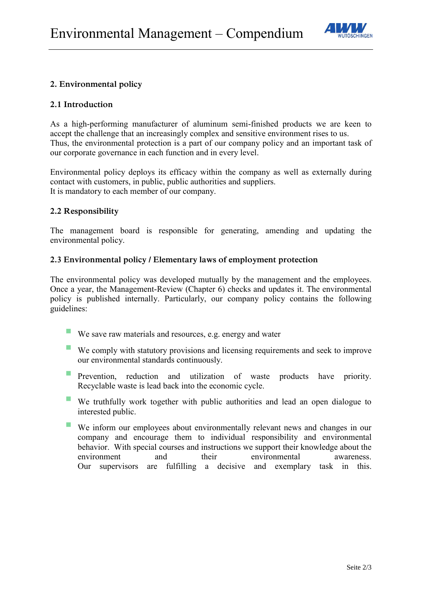

# **2. Environmental policy**

#### **2.1 Introduction**

As a high-performing manufacturer of aluminum semi-finished products we are keen to accept the challenge that an increasingly complex and sensitive environment rises to us. Thus, the environmental protection is a part of our company policy and an important task of our corporate governance in each function and in every level.

Environmental policy deploys its efficacy within the company as well as externally during contact with customers, in public, public authorities and suppliers. It is mandatory to each member of our company.

## **2.2 Responsibility**

The management board is responsible for generating, amending and updating the environmental policy.

## **2.3 Environmental policy / Elementary laws of employment protection**

The environmental policy was developed mutually by the management and the employees. Once a year, the Management-Review (Chapter 6) checks and updates it. The environmental policy is published internally. Particularly, our company policy contains the following guidelines:

- We save raw materials and resources, e.g. energy and water
- We comply with statutory provisions and licensing requirements and seek to improve our environmental standards continuously.
- **Prevention, reduction and utilization of waste products have priority.** Recyclable waste is lead back into the economic cycle.
- We truthfully work together with public authorities and lead an open dialogue to interested public.
- We inform our employees about environmentally relevant news and changes in our company and encourage them to individual responsibility and environmental behavior. With special courses and instructions we support their knowledge about the environment and their environmental awareness. Our supervisors are fulfilling a decisive and exemplary task in this.